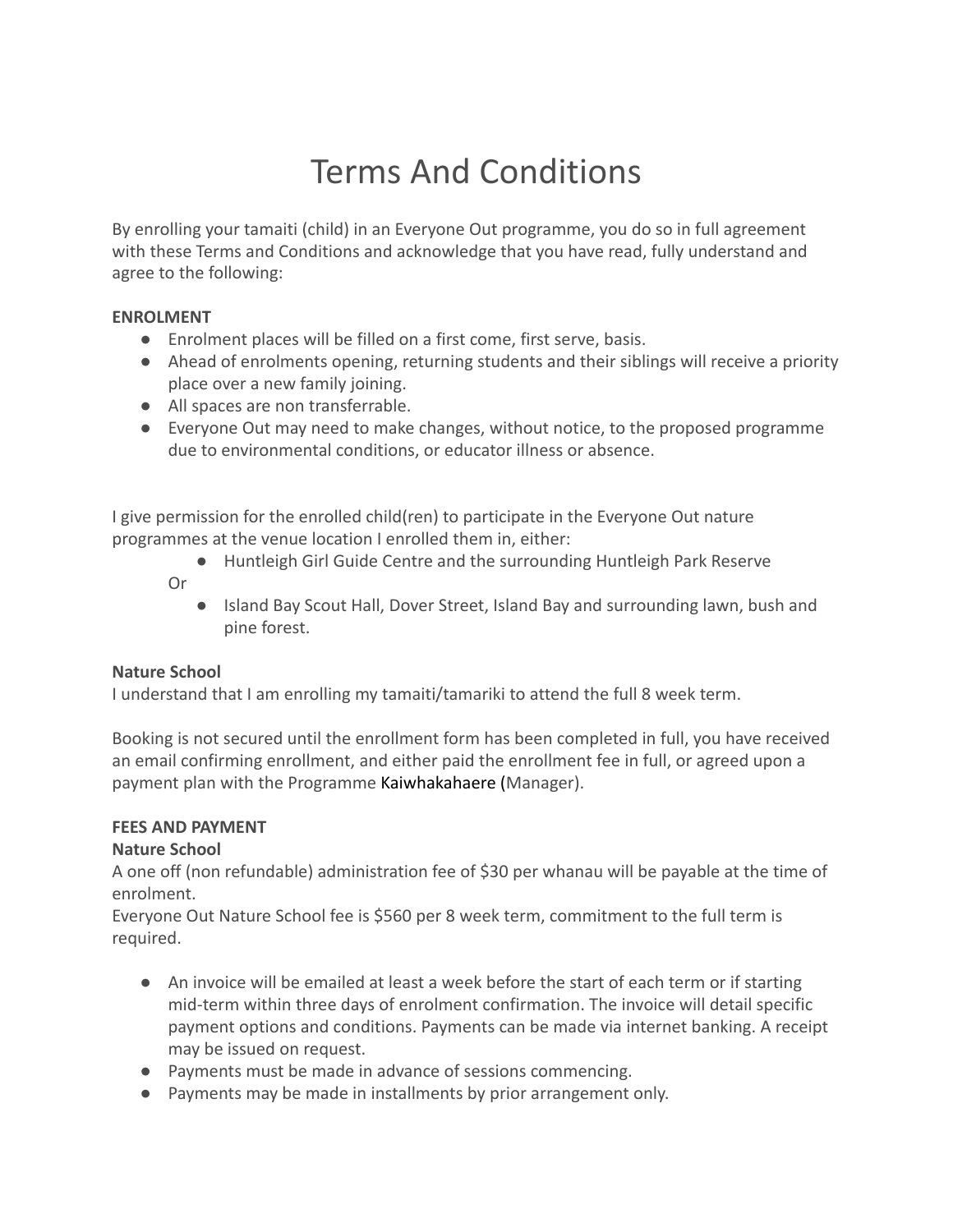# Terms And Conditions

By enrolling your tamaiti (child) in an Everyone Out programme, you do so in full agreement with these Terms and Conditions and acknowledge that you have read, fully understand and agree to the following:

### **ENROLMENT**

- Enrolment places will be filled on a first come, first serve, basis.
- Ahead of enrolments opening, returning students and their siblings will receive a priority place over a new family joining.
- All spaces are non transferrable.
- Everyone Out may need to make changes, without notice, to the proposed programme due to environmental conditions, or educator illness or absence.

I give permission for the enrolled child(ren) to participate in the Everyone Out nature programmes at the venue location I enrolled them in, either:

- Huntleigh Girl Guide Centre and the surrounding Huntleigh Park Reserve
- Or
- Island Bay Scout Hall, Dover Street, Island Bay and surrounding lawn, bush and pine forest.

## **Nature School**

I understand that I am enrolling my tamaiti/tamariki to attend the full 8 week term.

Booking is not secured until the enrollment form has been completed in full, you have received an email confirming enrollment, and either paid the enrollment fee in full, or agreed upon a payment plan with the Programme Kaiwhakahaere (Manager).

## **FEES AND PAYMENT**

## **Nature School**

A one off (non refundable) administration fee of \$30 per whanau will be payable at the time of enrolment.

Everyone Out Nature School fee is \$560 per 8 week term, commitment to the full term is required.

- An invoice will be emailed at least a week before the start of each term or if starting mid-term within three days of enrolment confirmation. The invoice will detail specific payment options and conditions. Payments can be made via internet banking. A receipt may be issued on request.
- Payments must be made in advance of sessions commencing.
- Payments may be made in installments by prior arrangement only.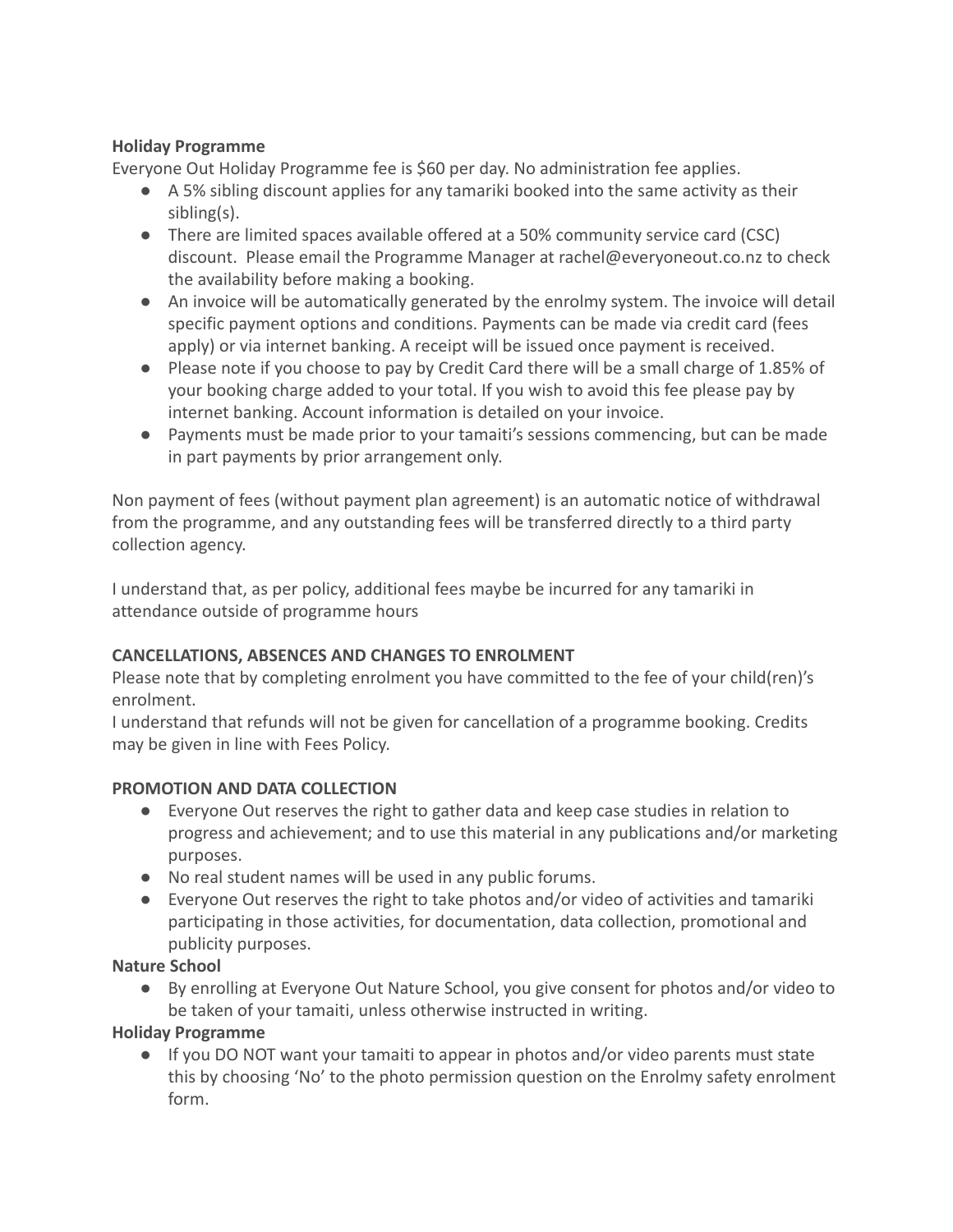## **Holiday Programme**

Everyone Out Holiday Programme fee is \$60 per day. No administration fee applies.

- A 5% sibling discount applies for any tamariki booked into the same activity as their sibling(s).
- There are limited spaces available offered at a 50% community service card (CSC) discount. Please email the Programme Manager at rachel@everyoneout.co.nz to check the availability before making a booking.
- An invoice will be automatically generated by the enrolmy system. The invoice will detail specific payment options and conditions. Payments can be made via credit card (fees apply) or via internet banking. A receipt will be issued once payment is received.
- Please note if you choose to pay by Credit Card there will be a small charge of 1.85% of your booking charge added to your total. If you wish to avoid this fee please pay by internet banking. Account information is detailed on your invoice.
- Payments must be made prior to your tamaiti's sessions commencing, but can be made in part payments by prior arrangement only.

Non payment of fees (without payment plan agreement) is an automatic notice of withdrawal from the programme, and any outstanding fees will be transferred directly to a third party collection agency.

I understand that, as per policy, additional fees maybe be incurred for any tamariki in attendance outside of programme hours

## **CANCELLATIONS, ABSENCES AND CHANGES TO ENROLMENT**

Please note that by completing enrolment you have committed to the fee of your child(ren)'s enrolment.

I understand that refunds will not be given for cancellation of a programme booking. Credits may be given in line with Fees Policy.

## **PROMOTION AND DATA COLLECTION**

- Everyone Out reserves the right to gather data and keep case studies in relation to progress and achievement; and to use this material in any publications and/or marketing purposes.
- No real student names will be used in any public forums.
- Everyone Out reserves the right to take photos and/or video of activities and tamariki participating in those activities, for documentation, data collection, promotional and publicity purposes.

## **Nature School**

● By enrolling at Everyone Out Nature School, you give consent for photos and/or video to be taken of your tamaiti, unless otherwise instructed in writing.

## **Holiday Programme**

● If you DO NOT want your tamaiti to appear in photos and/or video parents must state this by choosing 'No' to the photo permission question on the Enrolmy safety enrolment form.